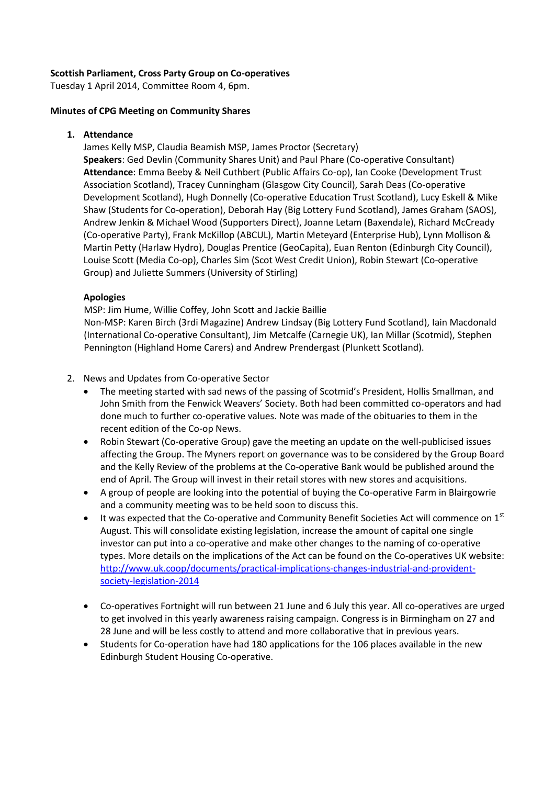### **Scottish Parliament, Cross Party Group on Co-operatives**

Tuesday 1 April 2014, Committee Room 4, 6pm.

#### **Minutes of CPG Meeting on Community Shares**

#### **1. Attendance**

James Kelly MSP, Claudia Beamish MSP, James Proctor (Secretary) **Speakers**: Ged Devlin (Community Shares Unit) and Paul Phare (Co-operative Consultant) **Attendance**: Emma Beeby & Neil Cuthbert (Public Affairs Co-op), Ian Cooke (Development Trust Association Scotland), Tracey Cunningham (Glasgow City Council), Sarah Deas (Co-operative Development Scotland), Hugh Donnelly (Co-operative Education Trust Scotland), Lucy Eskell & Mike Shaw (Students for Co-operation), Deborah Hay (Big Lottery Fund Scotland), James Graham (SAOS), Andrew Jenkin & Michael Wood (Supporters Direct), Joanne Letam (Baxendale), Richard McCready (Co-operative Party), Frank McKillop (ABCUL), Martin Meteyard (Enterprise Hub), Lynn Mollison & Martin Petty (Harlaw Hydro), Douglas Prentice (GeoCapita), Euan Renton (Edinburgh City Council), Louise Scott (Media Co-op), Charles Sim (Scot West Credit Union), Robin Stewart (Co-operative Group) and Juliette Summers (University of Stirling)

#### **Apologies**

MSP: Jim Hume, Willie Coffey, John Scott and Jackie Baillie Non-MSP: Karen Birch (3rdi Magazine) Andrew Lindsay (Big Lottery Fund Scotland), Iain Macdonald (International Co-operative Consultant), Jim Metcalfe (Carnegie UK), Ian Millar (Scotmid), Stephen Pennington (Highland Home Carers) and Andrew Prendergast (Plunkett Scotland).

#### 2. News and Updates from Co-operative Sector

- The meeting started with sad news of the passing of Scotmid's President, Hollis Smallman, and John Smith from the Fenwick Weavers' Society. Both had been committed co-operators and had done much to further co-operative values. Note was made of the obituaries to them in the recent edition of the Co-op News.
- Robin Stewart (Co-operative Group) gave the meeting an update on the well-publicised issues affecting the Group. The Myners report on governance was to be considered by the Group Board and the Kelly Review of the problems at the Co-operative Bank would be published around the end of April. The Group will invest in their retail stores with new stores and acquisitions.
- A group of people are looking into the potential of buying the Co-operative Farm in Blairgowrie and a community meeting was to be held soon to discuss this.
- $\bullet$  It was expected that the Co-operative and Community Benefit Societies Act will commence on 1<sup>st</sup> August. This will consolidate existing legislation, increase the amount of capital one single investor can put into a co-operative and make other changes to the naming of co-operative types. More details on the implications of the Act can be found on the Co-operatives UK website: [http://www.uk.coop/documents/practical-implications-changes-industrial-and-provident](http://www.uk.coop/documents/practical-implications-changes-industrial-and-provident-society-legislation-2014)[society-legislation-2014](http://www.uk.coop/documents/practical-implications-changes-industrial-and-provident-society-legislation-2014)
- Co-operatives Fortnight will run between 21 June and 6 July this year. All co-operatives are urged to get involved in this yearly awareness raising campaign. Congress is in Birmingham on 27 and 28 June and will be less costly to attend and more collaborative that in previous years.
- Students for Co-operation have had 180 applications for the 106 places available in the new Edinburgh Student Housing Co-operative.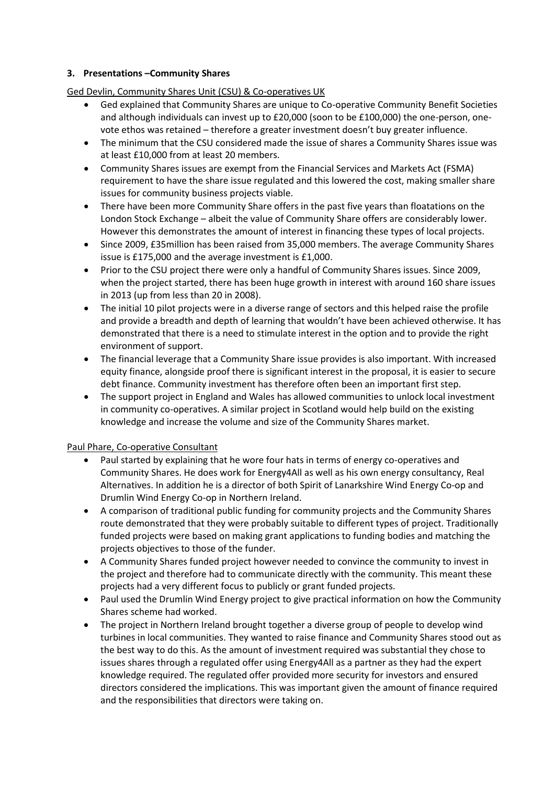## **3. Presentations –Community Shares**

Ged Devlin, Community Shares Unit (CSU) & Co-operatives UK

- Ged explained that Community Shares are unique to Co-operative Community Benefit Societies and although individuals can invest up to £20,000 (soon to be £100,000) the one-person, onevote ethos was retained – therefore a greater investment doesn't buy greater influence.
- The minimum that the CSU considered made the issue of shares a Community Shares issue was at least £10,000 from at least 20 members.
- Community Shares issues are exempt from the Financial Services and Markets Act (FSMA) requirement to have the share issue regulated and this lowered the cost, making smaller share issues for community business projects viable.
- There have been more Community Share offers in the past five years than floatations on the London Stock Exchange – albeit the value of Community Share offers are considerably lower. However this demonstrates the amount of interest in financing these types of local projects.
- Since 2009, £35million has been raised from 35,000 members. The average Community Shares issue is £175,000 and the average investment is £1,000.
- Prior to the CSU project there were only a handful of Community Shares issues. Since 2009, when the project started, there has been huge growth in interest with around 160 share issues in 2013 (up from less than 20 in 2008).
- The initial 10 pilot projects were in a diverse range of sectors and this helped raise the profile and provide a breadth and depth of learning that wouldn't have been achieved otherwise. It has demonstrated that there is a need to stimulate interest in the option and to provide the right environment of support.
- The financial leverage that a Community Share issue provides is also important. With increased equity finance, alongside proof there is significant interest in the proposal, it is easier to secure debt finance. Community investment has therefore often been an important first step.
- The support project in England and Wales has allowed communities to unlock local investment in community co-operatives. A similar project in Scotland would help build on the existing knowledge and increase the volume and size of the Community Shares market.

## Paul Phare, Co-operative Consultant

- Paul started by explaining that he wore four hats in terms of energy co-operatives and Community Shares. He does work for Energy4All as well as his own energy consultancy, Real Alternatives. In addition he is a director of both Spirit of Lanarkshire Wind Energy Co-op and Drumlin Wind Energy Co-op in Northern Ireland.
- A comparison of traditional public funding for community projects and the Community Shares route demonstrated that they were probably suitable to different types of project. Traditionally funded projects were based on making grant applications to funding bodies and matching the projects objectives to those of the funder.
- A Community Shares funded project however needed to convince the community to invest in the project and therefore had to communicate directly with the community. This meant these projects had a very different focus to publicly or grant funded projects.
- Paul used the Drumlin Wind Energy project to give practical information on how the Community Shares scheme had worked.
- The project in Northern Ireland brought together a diverse group of people to develop wind turbines in local communities. They wanted to raise finance and Community Shares stood out as the best way to do this. As the amount of investment required was substantial they chose to issues shares through a regulated offer using Energy4All as a partner as they had the expert knowledge required. The regulated offer provided more security for investors and ensured directors considered the implications. This was important given the amount of finance required and the responsibilities that directors were taking on.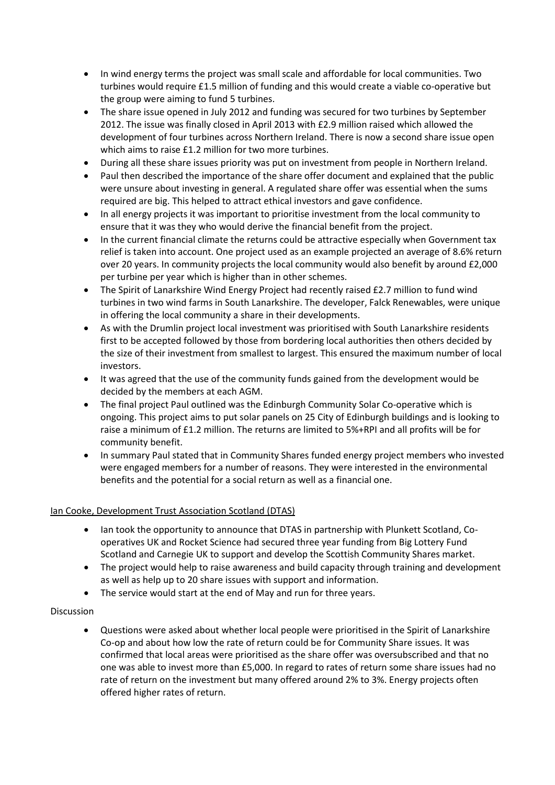- In wind energy terms the project was small scale and affordable for local communities. Two turbines would require £1.5 million of funding and this would create a viable co-operative but the group were aiming to fund 5 turbines.
- The share issue opened in July 2012 and funding was secured for two turbines by September 2012. The issue was finally closed in April 2013 with £2.9 million raised which allowed the development of four turbines across Northern Ireland. There is now a second share issue open which aims to raise £1.2 million for two more turbines.
- During all these share issues priority was put on investment from people in Northern Ireland.
- Paul then described the importance of the share offer document and explained that the public were unsure about investing in general. A regulated share offer was essential when the sums required are big. This helped to attract ethical investors and gave confidence.
- In all energy projects it was important to prioritise investment from the local community to ensure that it was they who would derive the financial benefit from the project.
- In the current financial climate the returns could be attractive especially when Government tax relief is taken into account. One project used as an example projected an average of 8.6% return over 20 years. In community projects the local community would also benefit by around £2,000 per turbine per year which is higher than in other schemes.
- The Spirit of Lanarkshire Wind Energy Project had recently raised £2.7 million to fund wind turbines in two wind farms in South Lanarkshire. The developer, Falck Renewables, were unique in offering the local community a share in their developments.
- As with the Drumlin project local investment was prioritised with South Lanarkshire residents first to be accepted followed by those from bordering local authorities then others decided by the size of their investment from smallest to largest. This ensured the maximum number of local investors.
- It was agreed that the use of the community funds gained from the development would be decided by the members at each AGM.
- The final project Paul outlined was the Edinburgh Community Solar Co-operative which is ongoing. This project aims to put solar panels on 25 City of Edinburgh buildings and is looking to raise a minimum of £1.2 million. The returns are limited to 5%+RPI and all profits will be for community benefit.
- In summary Paul stated that in Community Shares funded energy project members who invested were engaged members for a number of reasons. They were interested in the environmental benefits and the potential for a social return as well as a financial one.

## Ian Cooke, Development Trust Association Scotland (DTAS)

- Ian took the opportunity to announce that DTAS in partnership with Plunkett Scotland, Cooperatives UK and Rocket Science had secured three year funding from Big Lottery Fund Scotland and Carnegie UK to support and develop the Scottish Community Shares market.
- The project would help to raise awareness and build capacity through training and development as well as help up to 20 share issues with support and information.
- The service would start at the end of May and run for three years.

#### Discussion

 Questions were asked about whether local people were prioritised in the Spirit of Lanarkshire Co-op and about how low the rate of return could be for Community Share issues. It was confirmed that local areas were prioritised as the share offer was oversubscribed and that no one was able to invest more than £5,000. In regard to rates of return some share issues had no rate of return on the investment but many offered around 2% to 3%. Energy projects often offered higher rates of return.